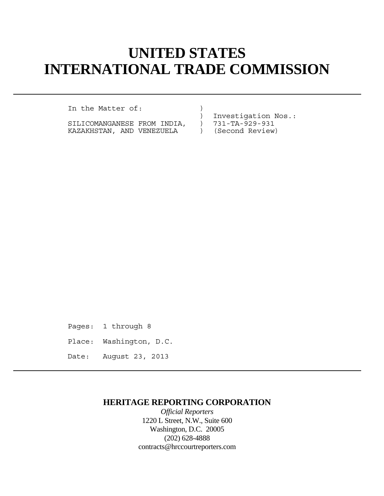# **UNITED STATES INTERNATIONAL TRADE COMMISSION**

In the Matter of: (1)

SILICOMANGANESE FROM INDIA, ) 731-TA-929-931 KAZAKHSTAN, AND VENEZUELA ) (Second Review)

) Investigation Nos.:

Pages: 1 through 8 Place: Washington, D.C. Date: August 23, 2013

## **HERITAGE REPORTING CORPORATION**

*Official Reporters* 1220 L Street, N.W., Suite 600 Washington, D.C. 20005 (202) 628-4888 contracts@hrccourtreporters.com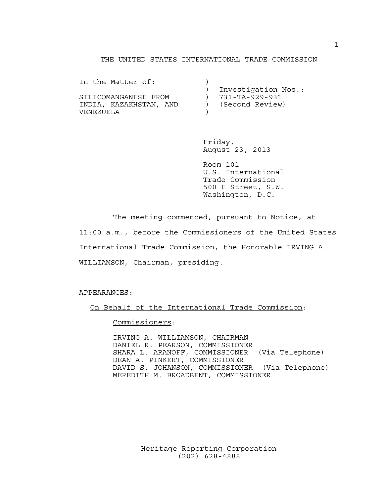### THE UNITED STATES INTERNATIONAL TRADE COMMISSION

| In the Matter of:      |                     |
|------------------------|---------------------|
|                        | Investigation Nos.: |
| SILICOMANGANESE FROM   | 731-TA-929-931      |
| INDIA, KAZAKHSTAN, AND | (Second Review)     |
| VENEZUELA              |                     |

 Friday, August 23, 2013

 Room 101 U.S. International Trade Commission 500 E Street, S.W. Washington, D.C.

 The meeting commenced, pursuant to Notice, at 11:00 a.m., before the Commissioners of the United States International Trade Commission, the Honorable IRVING A. WILLIAMSON, Chairman, presiding.

APPEARANCES:

On Behalf of the International Trade Commission:

Commissioners:

 IRVING A. WILLIAMSON, CHAIRMAN DANIEL R. PEARSON, COMMISSIONER SHARA L. ARANOFF, COMMISSIONER (Via Telephone) DEAN A. PINKERT, COMMISSIONER DAVID S. JOHANSON, COMMISSIONER (Via Telephone) MEREDITH M. BROADBENT, COMMISSIONER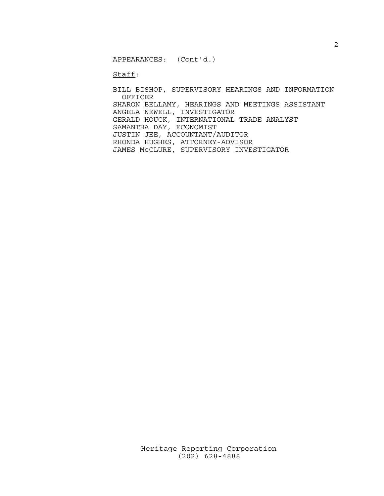APPEARANCES: (Cont'd.)

Staff:

 BILL BISHOP, SUPERVISORY HEARINGS AND INFORMATION OFFICER SHARON BELLAMY, HEARINGS AND MEETINGS ASSISTANT ANGELA NEWELL, INVESTIGATOR GERALD HOUCK, INTERNATIONAL TRADE ANALYST SAMANTHA DAY, ECONOMIST JUSTIN JEE, ACCOUNTANT/AUDITOR RHONDA HUGHES, ATTORNEY-ADVISOR JAMES McCLURE, SUPERVISORY INVESTIGATOR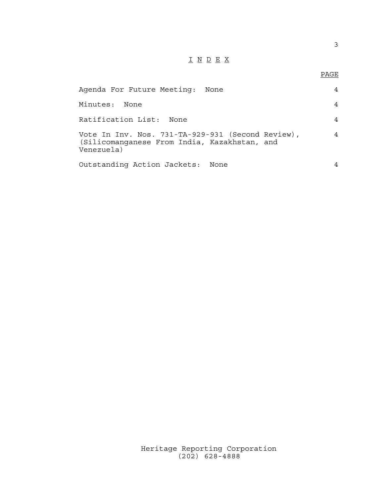# I N D E X

## en de la provincia de la provincia de la provincia de la provincia de la provincia de la provincia de la provi<br>Para la provincia de la provincia de la provincia de la provincia de la provincia de la provincia de la provin

| Agenda For Future Meeting: None                                                                                 |   |
|-----------------------------------------------------------------------------------------------------------------|---|
| Minutes:<br>None                                                                                                |   |
| Ratification List:<br>None                                                                                      |   |
| Vote In Inv. Nos. 731-TA-929-931 (Second Review),<br>(Silicomanganese From India, Kazakhstan, and<br>Venezuela) | 4 |
| Outstanding Action Jackets: None                                                                                |   |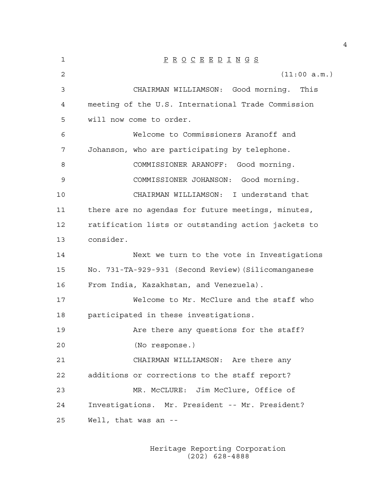| 1  | $\underline{P} \underline{R} \underline{O} \underline{C} \underline{E} \underline{E} \underline{D} \underline{I} \underline{N} \underline{G} \underline{S}$ |
|----|-------------------------------------------------------------------------------------------------------------------------------------------------------------|
| 2  | (11:00 a.m.)                                                                                                                                                |
| 3  | CHAIRMAN WILLIAMSON: Good morning. This                                                                                                                     |
| 4  | meeting of the U.S. International Trade Commission                                                                                                          |
| 5  | will now come to order.                                                                                                                                     |
| 6  | Welcome to Commissioners Aranoff and                                                                                                                        |
| 7  | Johanson, who are participating by telephone.                                                                                                               |
| 8  | COMMISSIONER ARANOFF: Good morning.                                                                                                                         |
| 9  | COMMISSIONER JOHANSON: Good morning.                                                                                                                        |
| 10 | CHAIRMAN WILLIAMSON: I understand that                                                                                                                      |
| 11 | there are no agendas for future meetings, minutes,                                                                                                          |
| 12 | ratification lists or outstanding action jackets to                                                                                                         |
| 13 | consider.                                                                                                                                                   |
| 14 | Next we turn to the vote in Investigations                                                                                                                  |
| 15 | No. 731-TA-929-931 (Second Review) (Silicomanganese                                                                                                         |
| 16 | From India, Kazakhstan, and Venezuela).                                                                                                                     |
| 17 | Welcome to Mr. McClure and the staff who                                                                                                                    |
| 18 | participated in these investigations.                                                                                                                       |
| 19 | Are there any questions for the staff?                                                                                                                      |
| 20 | (No response.)                                                                                                                                              |
| 21 | CHAIRMAN WILLIAMSON: Are there any                                                                                                                          |
| 22 | additions or corrections to the staff report?                                                                                                               |
| 23 | MR. McCLURE: Jim McClure, Office of                                                                                                                         |
| 24 | Investigations. Mr. President -- Mr. President?                                                                                                             |
| 25 | Well, that was an --                                                                                                                                        |
|    |                                                                                                                                                             |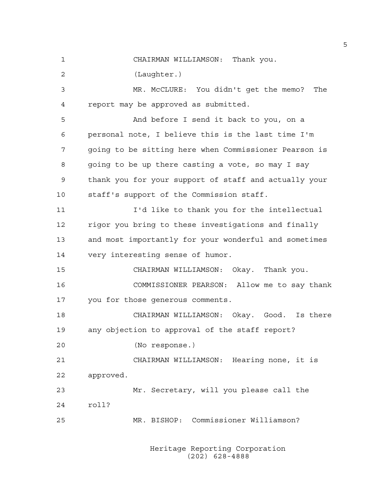1 CHAIRMAN WILLIAMSON: Thank you.

2 (Laughter.)

3 MR. McCLURE: You didn't get the memo? The 4 report may be approved as submitted.

5 And before I send it back to you, on a 6 personal note, I believe this is the last time I'm 7 going to be sitting here when Commissioner Pearson is 8 going to be up there casting a vote, so may I say 9 thank you for your support of staff and actually your 10 staff's support of the Commission staff.

11 I'd like to thank you for the intellectual 12 rigor you bring to these investigations and finally 13 and most importantly for your wonderful and sometimes 14 very interesting sense of humor.

15 CHAIRMAN WILLIAMSON: Okay. Thank you.

16 COMMISSIONER PEARSON: Allow me to say thank 17 you for those generous comments.

18 CHAIRMAN WILLIAMSON: Okay. Good. Is there 19 any objection to approval of the staff report?

20 (No response.)

21 CHAIRMAN WILLIAMSON: Hearing none, it is 22 approved.

23 Mr. Secretary, will you please call the 24 roll?

25 MR. BISHOP: Commissioner Williamson?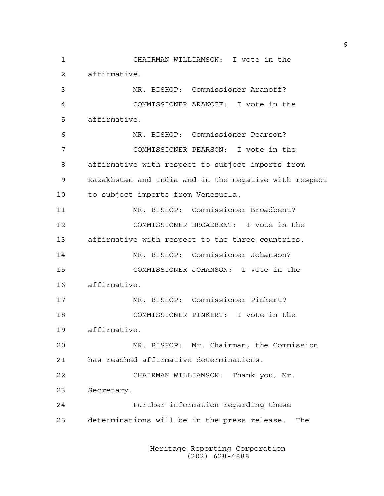1 CHAIRMAN WILLIAMSON: I vote in the 2 affirmative. 3 MR. BISHOP: Commissioner Aranoff? 4 COMMISSIONER ARANOFF: I vote in the 5 affirmative. 6 MR. BISHOP: Commissioner Pearson? 7 COMMISSIONER PEARSON: I vote in the 8 affirmative with respect to subject imports from 9 Kazakhstan and India and in the negative with respect 10 to subject imports from Venezuela. 11 MR. BISHOP: Commissioner Broadbent? 12 COMMISSIONER BROADBENT: I vote in the 13 affirmative with respect to the three countries. 14 MR. BISHOP: Commissioner Johanson? 15 COMMISSIONER JOHANSON: I vote in the 16 affirmative. 17 MR. BISHOP: Commissioner Pinkert? 18 COMMISSIONER PINKERT: I vote in the 19 affirmative. 20 MR. BISHOP: Mr. Chairman, the Commission 21 has reached affirmative determinations. 22 CHAIRMAN WILLIAMSON: Thank you, Mr. 23 Secretary. 24 Further information regarding these 25 determinations will be in the press release. The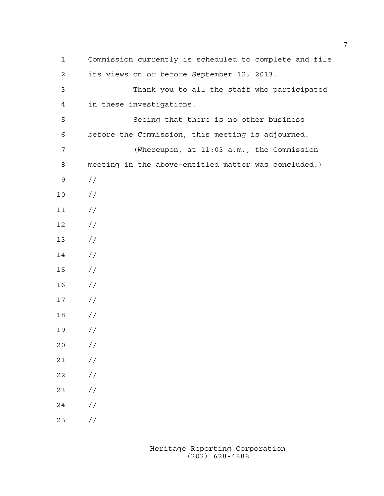| 1              | Commission currently is scheduled to complete and file |
|----------------|--------------------------------------------------------|
| 2              | its views on or before September 12, 2013.             |
| $\mathfrak{Z}$ | Thank you to all the staff who participated            |
| 4              | in these investigations.                               |
| 5              | Seeing that there is no other business                 |
| 6              | before the Commission, this meeting is adjourned.      |
| 7              | (Whereupon, at 11:03 a.m., the Commission              |
| 8              | meeting in the above-entitled matter was concluded.)   |
| 9              | $\frac{1}{2}$                                          |
| $10$           | //                                                     |
| 11             | $\frac{1}{2}$                                          |
| 12             | $\frac{1}{2}$                                          |
| 13             | $\frac{1}{2}$                                          |
| 14             | $\frac{1}{2}$                                          |
| 15             | $\frac{1}{2}$                                          |
| 16             | $\frac{1}{2}$                                          |
| 17             | $\frac{1}{2}$                                          |
| 18             | $\frac{1}{2}$                                          |
| 19             | //                                                     |
| 20             | //                                                     |
| 21             | $\frac{1}{2}$                                          |
| 22             | $\frac{1}{2}$                                          |
| 23             | $\frac{1}{2}$                                          |
| 24             | $\frac{1}{2}$                                          |
| 25             | $\frac{\sqrt{2}}{2}$                                   |